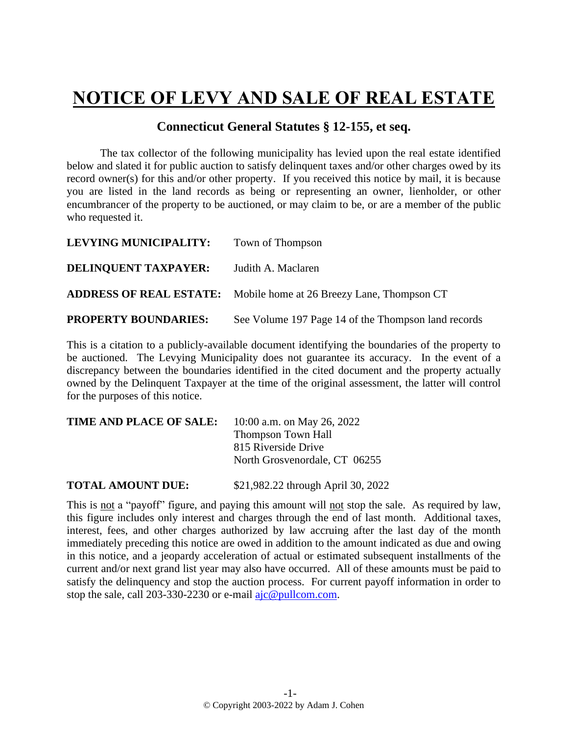## **NOTICE OF LEVY AND SALE OF REAL ESTATE**

## **Connecticut General Statutes § 12-155, et seq.**

The tax collector of the following municipality has levied upon the real estate identified below and slated it for public auction to satisfy delinquent taxes and/or other charges owed by its record owner(s) for this and/or other property. If you received this notice by mail, it is because you are listed in the land records as being or representing an owner, lienholder, or other encumbrancer of the property to be auctioned, or may claim to be, or are a member of the public who requested it.

| <b>LEVYING MUNICIPALITY:</b> | Town of Thompson                                                          |
|------------------------------|---------------------------------------------------------------------------|
| DELINQUENT TAXPAYER:         | Judith A. Maclaren                                                        |
|                              | <b>ADDRESS OF REAL ESTATE:</b> Mobile home at 26 Breezy Lane, Thompson CT |
| <b>PROPERTY BOUNDARIES:</b>  | See Volume 197 Page 14 of the Thompson land records                       |

This is a citation to a publicly-available document identifying the boundaries of the property to be auctioned. The Levying Municipality does not guarantee its accuracy. In the event of a discrepancy between the boundaries identified in the cited document and the property actually owned by the Delinquent Taxpayer at the time of the original assessment, the latter will control for the purposes of this notice.

| TIME AND PLACE OF SALE: | 10:00 a.m. on May 26, 2022    |
|-------------------------|-------------------------------|
|                         | <b>Thompson Town Hall</b>     |
|                         | 815 Riverside Drive           |
|                         | North Grosvenordale, CT 06255 |
|                         |                               |

**TOTAL AMOUNT DUE:** \$21,982.22 through April 30, 2022

This is not a "payoff" figure, and paying this amount will not stop the sale. As required by law, this figure includes only interest and charges through the end of last month. Additional taxes, interest, fees, and other charges authorized by law accruing after the last day of the month immediately preceding this notice are owed in addition to the amount indicated as due and owing in this notice, and a jeopardy acceleration of actual or estimated subsequent installments of the current and/or next grand list year may also have occurred. All of these amounts must be paid to satisfy the delinquency and stop the auction process. For current payoff information in order to stop the sale, call 203-330-2230 or e-mail [ajc@pullcom.com.](mailto:ajc@pullcom.com)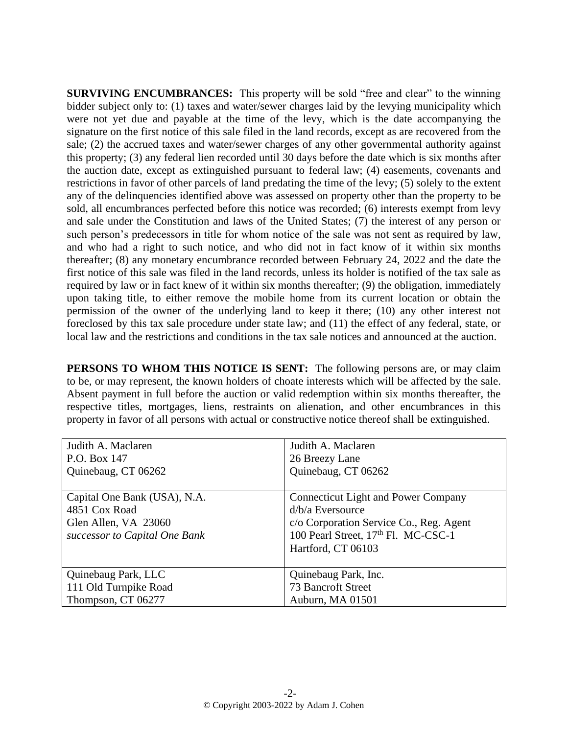**SURVIVING ENCUMBRANCES:** This property will be sold "free and clear" to the winning bidder subject only to: (1) taxes and water/sewer charges laid by the levying municipality which were not yet due and payable at the time of the levy, which is the date accompanying the signature on the first notice of this sale filed in the land records, except as are recovered from the sale; (2) the accrued taxes and water/sewer charges of any other governmental authority against this property; (3) any federal lien recorded until 30 days before the date which is six months after the auction date, except as extinguished pursuant to federal law; (4) easements, covenants and restrictions in favor of other parcels of land predating the time of the levy; (5) solely to the extent any of the delinquencies identified above was assessed on property other than the property to be sold, all encumbrances perfected before this notice was recorded; (6) interests exempt from levy and sale under the Constitution and laws of the United States; (7) the interest of any person or such person's predecessors in title for whom notice of the sale was not sent as required by law, and who had a right to such notice, and who did not in fact know of it within six months thereafter; (8) any monetary encumbrance recorded between February 24, 2022 and the date the first notice of this sale was filed in the land records, unless its holder is notified of the tax sale as required by law or in fact knew of it within six months thereafter; (9) the obligation, immediately upon taking title, to either remove the mobile home from its current location or obtain the permission of the owner of the underlying land to keep it there; (10) any other interest not foreclosed by this tax sale procedure under state law; and (11) the effect of any federal, state, or local law and the restrictions and conditions in the tax sale notices and announced at the auction.

**PERSONS TO WHOM THIS NOTICE IS SENT:** The following persons are, or may claim to be, or may represent, the known holders of choate interests which will be affected by the sale. Absent payment in full before the auction or valid redemption within six months thereafter, the respective titles, mortgages, liens, restraints on alienation, and other encumbrances in this property in favor of all persons with actual or constructive notice thereof shall be extinguished.

| Judith A. Maclaren            | Judith A. Maclaren                              |
|-------------------------------|-------------------------------------------------|
| P.O. Box 147                  | 26 Breezy Lane                                  |
| Quinebaug, CT 06262           | Quinebaug, CT 06262                             |
|                               |                                                 |
| Capital One Bank (USA), N.A.  | <b>Connecticut Light and Power Company</b>      |
| 4851 Cox Road                 | $d/b/a$ Eversource                              |
| Glen Allen, VA 23060          | c/o Corporation Service Co., Reg. Agent         |
| successor to Capital One Bank | 100 Pearl Street, 17 <sup>th</sup> Fl. MC-CSC-1 |
|                               | Hartford, CT 06103                              |
|                               |                                                 |
| Quinebaug Park, LLC           | Quinebaug Park, Inc.                            |
| 111 Old Turnpike Road         | 73 Bancroft Street                              |
| Thompson, CT 06277            | Auburn, MA 01501                                |